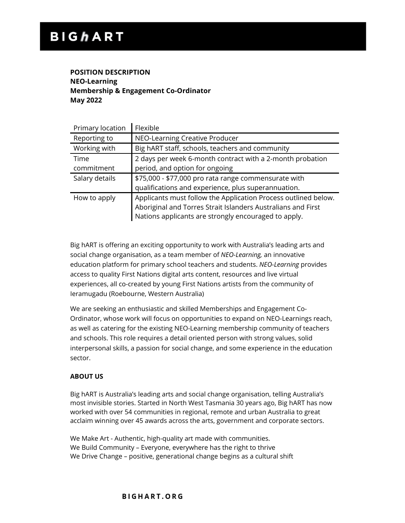# **POSITION DESCRIPTION NEO-Learning Membership & Engagement Co-Ordinator May 2022**

| Primary location | Flexible                                                  |
|------------------|-----------------------------------------------------------|
| Reporting to     | NEO-Learning Creative Producer                            |
| Working with     | Big hART staff, schools, teachers and community           |
| Time             | 2 days per week 6-month contract with a 2-month probation |
| commitment       | period, and option for ongoing                            |
|                  |                                                           |
| Salary details   | \$75,000 - \$77,000 pro rata range commensurate with      |
|                  | qualifications and experience, plus superannuation.       |

Big hART is offering an exciting opportunity to work with Australia's leading arts and social change organisation, as a team member of *NEO-Learning,* an innovative education platform for primary school teachers and students. *NEO-Learning* provides access to quality First Nations digital arts content, resources and live virtual experiences, all co-created by young First Nations artists from the community of Ieramugadu (Roebourne, Western Australia)

We are seeking an enthusiastic and skilled Memberships and Engagement Co-Ordinator, whose work will focus on opportunities to expand on NEO-Learnings reach, as well as catering for the existing NEO-Learning membership community of teachers and schools. This role requires a detail oriented person with strong values, solid interpersonal skills, a passion for social change, and some experience in the education sector.

# **ABOUT US**

Big hART is Australia's leading arts and social change organisation, telling Australia's most invisible stories. Started in North West Tasmania 30 years ago, Big hART has now worked with over 54 communities in regional, remote and urban Australia to great acclaim winning over 45 awards across the arts, government and corporate sectors.

We Make Art - Authentic, high-quality art made with communities. We Build Community – Everyone, everywhere has the right to thrive We Drive Change – positive, generational change begins as a cultural shift

#### **BIGHART.ORG**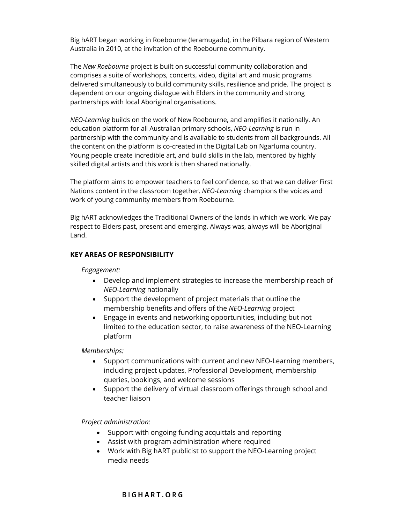Big hART began working in Roebourne (Ieramugadu), in the Pilbara region of Western Australia in 2010, at the invitation of the Roebourne community.

The *New Roebourne* project is built on successful community collaboration and comprises a suite of workshops, concerts, video, digital art and music programs delivered simultaneously to build community skills, resilience and pride. The project is dependent on our ongoing dialogue with Elders in the community and strong partnerships with local Aboriginal organisations.

*NEO-Learning* builds on the work of New Roebourne, and amplifies it nationally. An education platform for all Australian primary schools, *NEO-Learning* is run in partnership with the community and is available to students from all backgrounds. All the content on the platform is co-created in the Digital Lab on Ngarluma country. Young people create incredible art, and build skills in the lab, mentored by highly skilled digital artists and this work is then shared nationally.

The platform aims to empower teachers to feel confidence, so that we can deliver First Nations content in the classroom together. *NEO-Learning* champions the voices and work of young community members from Roebourne.

Big hART acknowledges the Traditional Owners of the lands in which we work. We pay respect to Elders past, present and emerging. Always was, always will be Aboriginal Land.

#### **KEY AREAS OF RESPONSIBILITY**

#### *Engagement:*

- Develop and implement strategies to increase the membership reach of *NEO-Learning* nationally
- Support the development of project materials that outline the membership benefits and offers of the *NEO-Learning* project
- Engage in events and networking opportunities, including but not limited to the education sector, to raise awareness of the NEO-Learning platform

*Memberships:*

- Support communications with current and new NEO-Learning members, including project updates, Professional Development, membership queries, bookings, and welcome sessions
- Support the delivery of virtual classroom offerings through school and teacher liaison

*Project administration:*

- Support with ongoing funding acquittals and reporting
- Assist with program administration where required
- Work with Big hART publicist to support the NEO-Learning project media needs